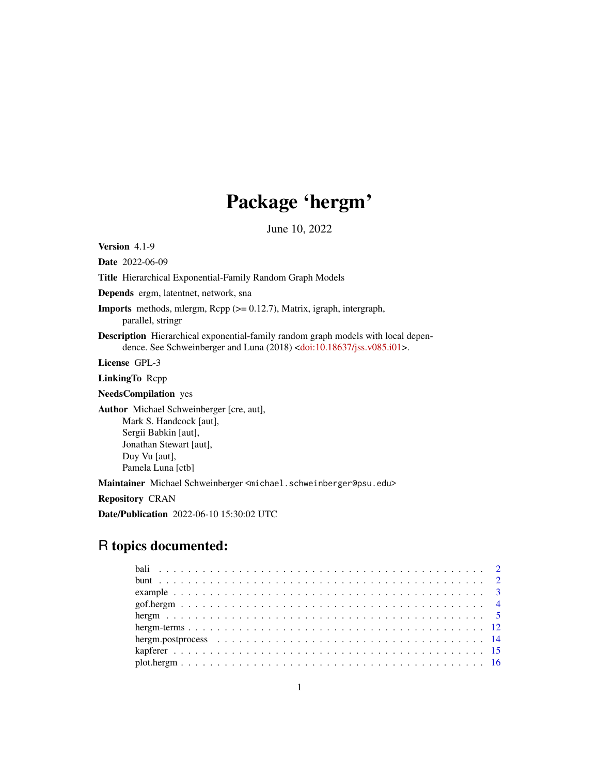## Package 'hergm'

June 10, 2022

Version 4.1-9

Date 2022-06-09

Title Hierarchical Exponential-Family Random Graph Models

Depends ergm, latentnet, network, sna

Imports methods, mlergm, Rcpp (>= 0.12.7), Matrix, igraph, intergraph, parallel, stringr

Description Hierarchical exponential-family random graph models with local depen-dence. See Schweinberger and Luna (2018) [<doi:10.18637/jss.v085.i01>](https://doi.org/10.18637/jss.v085.i01).

License GPL-3

LinkingTo Rcpp

NeedsCompilation yes

Author Michael Schweinberger [cre, aut], Mark S. Handcock [aut], Sergii Babkin [aut], Jonathan Stewart [aut], Duy Vu [aut], Pamela Luna [ctb]

Maintainer Michael Schweinberger <michael.schweinberger@psu.edu>

Repository CRAN

Date/Publication 2022-06-10 15:30:02 UTC

## R topics documented: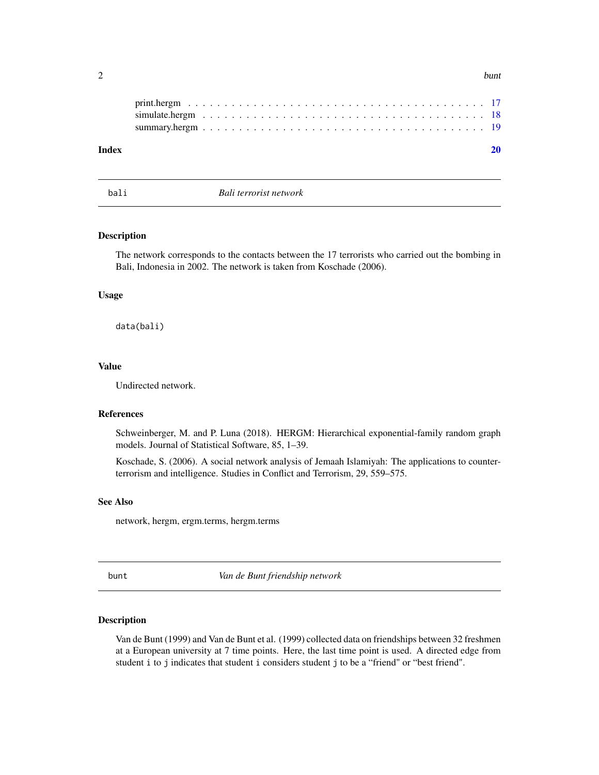<span id="page-1-0"></span>

| ~ | bunt |
|---|------|
| ∸ |      |
|   |      |

bali *Bali terrorist network*

## Description

The network corresponds to the contacts between the 17 terrorists who carried out the bombing in Bali, Indonesia in 2002. The network is taken from Koschade (2006).

## Usage

data(bali)

## Value

Undirected network.

## References

Schweinberger, M. and P. Luna (2018). HERGM: Hierarchical exponential-family random graph models. Journal of Statistical Software, 85, 1–39.

Koschade, S. (2006). A social network analysis of Jemaah Islamiyah: The applications to counterterrorism and intelligence. Studies in Conflict and Terrorism, 29, 559–575.

## See Also

network, hergm, ergm.terms, hergm.terms

bunt *Van de Bunt friendship network*

#### Description

Van de Bunt (1999) and Van de Bunt et al. (1999) collected data on friendships between 32 freshmen at a European university at 7 time points. Here, the last time point is used. A directed edge from student i to j indicates that student i considers student j to be a "friend" or "best friend".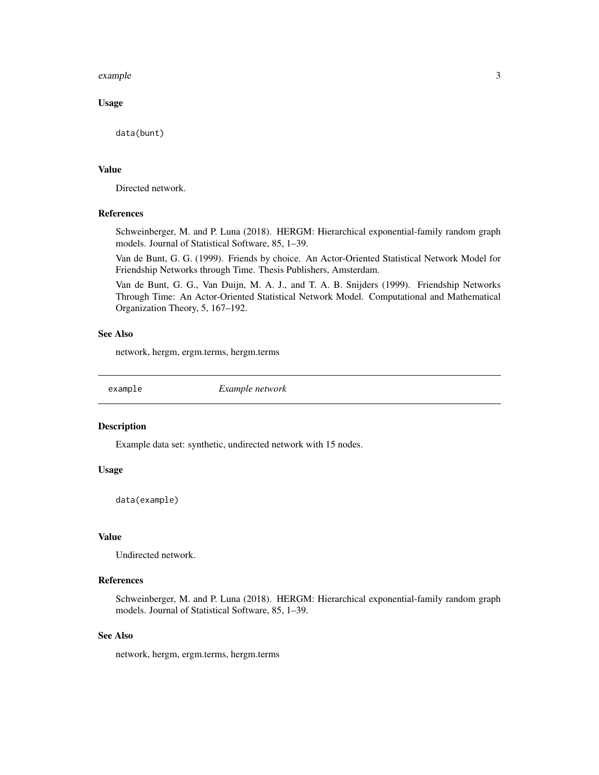#### <span id="page-2-0"></span>example 3

#### Usage

data(bunt)

#### Value

Directed network.

## References

Schweinberger, M. and P. Luna (2018). HERGM: Hierarchical exponential-family random graph models. Journal of Statistical Software, 85, 1–39.

Van de Bunt, G. G. (1999). Friends by choice. An Actor-Oriented Statistical Network Model for Friendship Networks through Time. Thesis Publishers, Amsterdam.

Van de Bunt, G. G., Van Duijn, M. A. J., and T. A. B. Snijders (1999). Friendship Networks Through Time: An Actor-Oriented Statistical Network Model. Computational and Mathematical Organization Theory, 5, 167–192.

## See Also

network, hergm, ergm.terms, hergm.terms

example *Example network*

#### Description

Example data set: synthetic, undirected network with 15 nodes.

#### Usage

data(example)

#### Value

Undirected network.

#### References

Schweinberger, M. and P. Luna (2018). HERGM: Hierarchical exponential-family random graph models. Journal of Statistical Software, 85, 1–39.

## See Also

network, hergm, ergm.terms, hergm.terms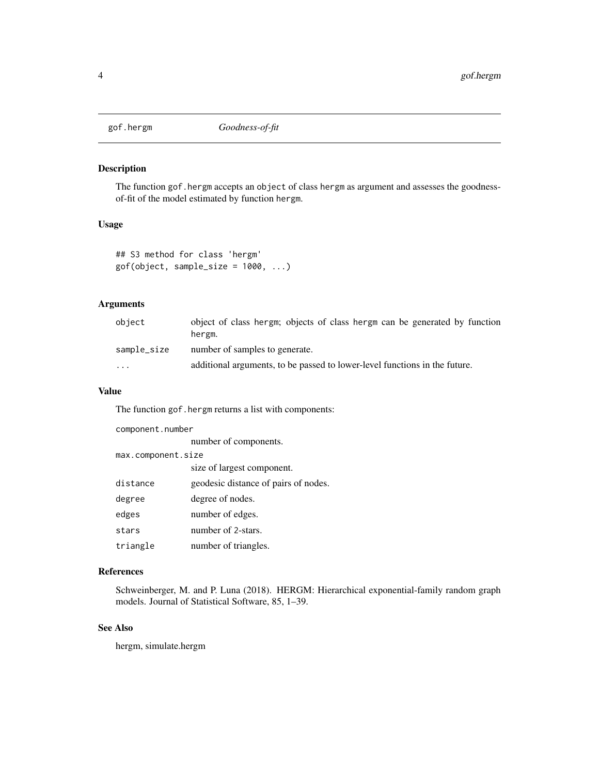<span id="page-3-0"></span>

## Description

The function gof.hergm accepts an object of class hergm as argument and assesses the goodnessof-fit of the model estimated by function hergm.

#### Usage

```
## S3 method for class 'hergm'
gof(object, sample_size = 1000, ...)
```
## Arguments

| obiect      | object of class hergm; objects of class hergm can be generated by function<br>hergm. |
|-------------|--------------------------------------------------------------------------------------|
| sample_size | number of samples to generate.                                                       |
| $\cdots$    | additional arguments, to be passed to lower-level functions in the future.           |

#### Value

The function gof.hergm returns a list with components:

| component.number   |                                      |  |
|--------------------|--------------------------------------|--|
|                    | number of components.                |  |
| max.component.size |                                      |  |
|                    | size of largest component.           |  |
| distance           | geodesic distance of pairs of nodes. |  |
| degree             | degree of nodes.                     |  |
| edges              | number of edges.                     |  |
| stars              | number of 2-stars.                   |  |
| triangle           | number of triangles.                 |  |

## References

Schweinberger, M. and P. Luna (2018). HERGM: Hierarchical exponential-family random graph models. Journal of Statistical Software, 85, 1–39.

## See Also

hergm, simulate.hergm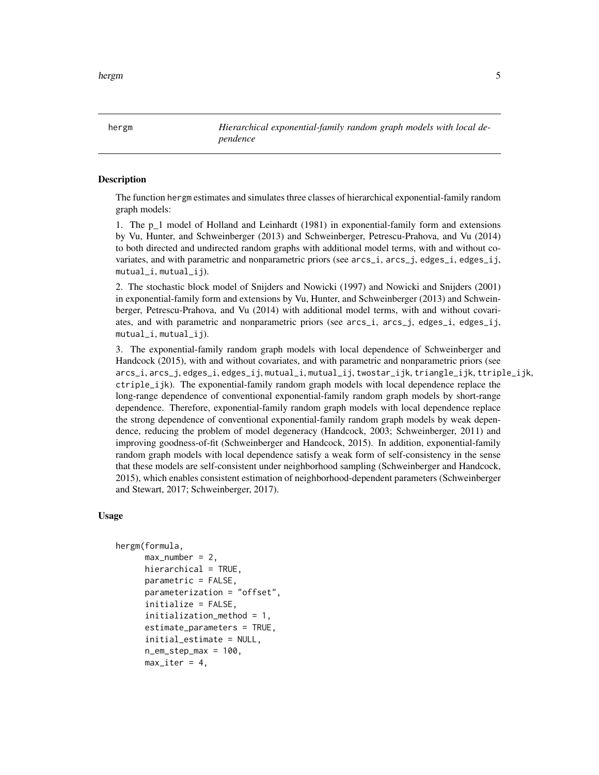<span id="page-4-0"></span>hergm *Hierarchical exponential-family random graph models with local dependence*

#### Description

The function hergm estimates and simulates three classes of hierarchical exponential-family random graph models:

1. The p\_1 model of Holland and Leinhardt (1981) in exponential-family form and extensions by Vu, Hunter, and Schweinberger (2013) and Schweinberger, Petrescu-Prahova, and Vu (2014) to both directed and undirected random graphs with additional model terms, with and without covariates, and with parametric and nonparametric priors (see arcs\_i, arcs\_j, edges\_i, edges\_ij, mutual\_i, mutual\_ij).

2. The stochastic block model of Snijders and Nowicki (1997) and Nowicki and Snijders (2001) in exponential-family form and extensions by Vu, Hunter, and Schweinberger (2013) and Schweinberger, Petrescu-Prahova, and Vu (2014) with additional model terms, with and without covariates, and with parametric and nonparametric priors (see arcs\_i, arcs\_j, edges\_i, edges\_ij, mutual\_i, mutual\_ij).

3. The exponential-family random graph models with local dependence of Schweinberger and Handcock (2015), with and without covariates, and with parametric and nonparametric priors (see arcs\_i, arcs\_j, edges\_i, edges\_ij, mutual\_i, mutual\_ij, twostar\_ijk, triangle\_ijk, ttriple\_ijk, ctriple\_ijk). The exponential-family random graph models with local dependence replace the long-range dependence of conventional exponential-family random graph models by short-range dependence. Therefore, exponential-family random graph models with local dependence replace the strong dependence of conventional exponential-family random graph models by weak dependence, reducing the problem of model degeneracy (Handcock, 2003; Schweinberger, 2011) and improving goodness-of-fit (Schweinberger and Handcock, 2015). In addition, exponential-family random graph models with local dependence satisfy a weak form of self-consistency in the sense that these models are self-consistent under neighborhood sampling (Schweinberger and Handcock, 2015), which enables consistent estimation of neighborhood-dependent parameters (Schweinberger and Stewart, 2017; Schweinberger, 2017).

#### Usage

```
hergm(formula,
      max_number = 2,
      hierarchical = TRUE,
      parametric = FALSE,
      parameterization = "offset",
      initialize = FALSE,
      initialization_method = 1,
      estimate_parameters = TRUE,
      initial_estimate = NULL,
      n_{em\_step\_max} = 100,
      max\_iter = 4,
```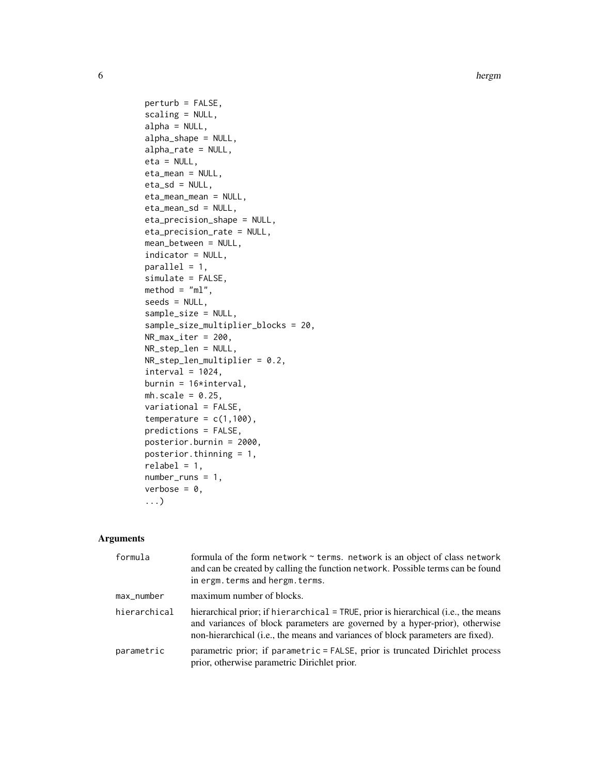```
perturb = FALSE,
scaling = NULL,
alpha = NULL,
alpha_shape = NULL,
alpha_rate = NULL,
eta = NULL,
eta_mean = NULL,
eta_s = NULL,eta_mean_mean = NULL,
eta_mean_sd = NULL,
eta_precision_shape = NULL,
eta_precision_rate = NULL,
mean_between = NULL,
indicator = NULL,
parallel = 1,
simulate = FALSE,
method = "m1",seeds = NULL,
sample_size = NULL,
sample_size_multiplier_blocks = 20,
NR_max_iter = 200,
NR_step_len = NULL,
NR_step_len_multiplier = 0.2,
interval = 1024,burnin = 16*interval,
mh.scale = 0.25,
variational = FALSE,
temperature = c(1,100),
predictions = FALSE,
posterior.burnin = 2000,
posterior.thinning = 1,
relabel = 1,number_runs = 1,
verbose = 0,
...)
```
#### Arguments

| formula      | formula of the form network $\sim$ terms. network is an object of class network<br>and can be created by calling the function network. Possible terms can be found<br>in ergm. terms and hergm. terms.                                               |
|--------------|------------------------------------------------------------------------------------------------------------------------------------------------------------------------------------------------------------------------------------------------------|
| max_number   | maximum number of blocks.                                                                                                                                                                                                                            |
| hierarchical | hierarchical prior; if hierarchical = TRUE, prior is hierarchical (i.e., the means<br>and variances of block parameters are governed by a hyper-prior), otherwise<br>non-hierarchical (i.e., the means and variances of block parameters are fixed). |
| parametric   | parametric prior; if parametric = FALSE, prior is truncated Dirichlet process<br>prior, otherwise parametric Dirichlet prior.                                                                                                                        |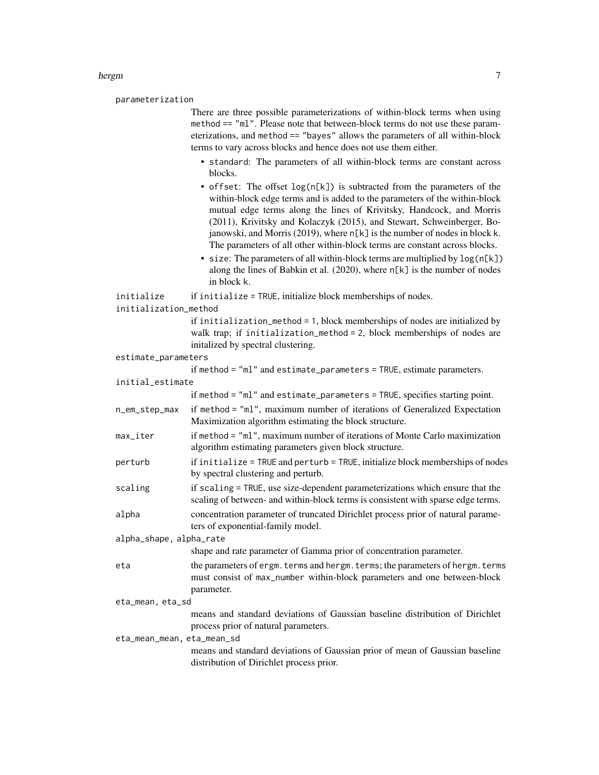parameterization

There are three possible parameterizations of within-block terms when using method == "ml". Please note that between-block terms do not use these parameterizations, and method == "bayes" allows the parameters of all within-block terms to vary across blocks and hence does not use them either.

- standard: The parameters of all within-block terms are constant across blocks.
- offset: The offset log(n[k]) is subtracted from the parameters of the within-block edge terms and is added to the parameters of the within-block mutual edge terms along the lines of Krivitsky, Handcock, and Morris (2011), Krivitsky and Kolaczyk (2015), and Stewart, Schweinberger, Bojanowski, and Morris (2019), where n[k] is the number of nodes in block k. The parameters of all other within-block terms are constant across blocks.
- size: The parameters of all within-block terms are multiplied by  $log(n[k])$ along the lines of Babkin et al. (2020), where n[k] is the number of nodes in block k.

```
initialize if initialize = TRUE, initialize block memberships of nodes.
```

```
initialization_method
```
if initialization\_method = 1, block memberships of nodes are initialized by walk trap; if initialization\_method = 2, block memberships of nodes are initalized by spectral clustering.

```
estimate_parameters
```

|                            | if method = "ml" and estimate_parameters = TRUE, estimate parameters.                                                                                                    |  |
|----------------------------|--------------------------------------------------------------------------------------------------------------------------------------------------------------------------|--|
| initial_estimate           |                                                                                                                                                                          |  |
|                            | if method = "ml" and estimate_parameters = TRUE, specifies starting point.                                                                                               |  |
| n_em_step_max              | if method = "m1", maximum number of iterations of Generalized Expectation<br>Maximization algorithm estimating the block structure.                                      |  |
| max iter                   | if method = "ml", maximum number of iterations of Monte Carlo maximization<br>algorithm estimating parameters given block structure.                                     |  |
| perturb                    | if initialize = TRUE and perturb = TRUE, initialize block memberships of nodes<br>by spectral clustering and perturb.                                                    |  |
| scaling                    | if scaling = TRUE, use size-dependent parameterizations which ensure that the<br>scaling of between- and within-block terms is consistent with sparse edge terms.        |  |
| alpha                      | concentration parameter of truncated Dirichlet process prior of natural parame-<br>ters of exponential-family model.                                                     |  |
| alpha_shape, alpha_rate    |                                                                                                                                                                          |  |
|                            | shape and rate parameter of Gamma prior of concentration parameter.                                                                                                      |  |
| eta                        | the parameters of ergm. terms and hergm. terms; the parameters of hergm. terms<br>must consist of max_number within-block parameters and one between-block<br>parameter. |  |
| eta_mean, eta_sd           |                                                                                                                                                                          |  |
|                            | means and standard deviations of Gaussian baseline distribution of Dirichlet<br>process prior of natural parameters.                                                     |  |
| eta_mean_mean, eta_mean_sd |                                                                                                                                                                          |  |
|                            | means and standard deviations of Gaussian prior of mean of Gaussian baseline<br>distribution of Dirichlet process prior.                                                 |  |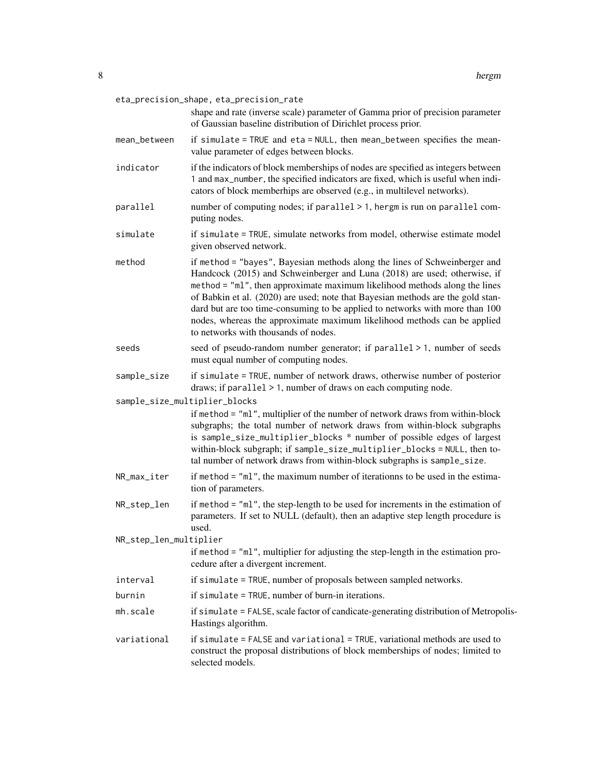|                               | eta_precision_shape, eta_precision_rate<br>shape and rate (inverse scale) parameter of Gamma prior of precision parameter<br>of Gaussian baseline distribution of Dirichlet process prior.                                                                                                                                                                                                                                                                                                                                   |
|-------------------------------|------------------------------------------------------------------------------------------------------------------------------------------------------------------------------------------------------------------------------------------------------------------------------------------------------------------------------------------------------------------------------------------------------------------------------------------------------------------------------------------------------------------------------|
| mean_between                  | if simulate = TRUE and eta = NULL, then mean_between specifies the mean-<br>value parameter of edges between blocks.                                                                                                                                                                                                                                                                                                                                                                                                         |
| indicator                     | if the indicators of block memberships of nodes are specified as integers between<br>1 and max_number, the specified indicators are fixed, which is useful when indi-<br>cators of block memberhips are observed (e.g., in multilevel networks).                                                                                                                                                                                                                                                                             |
| parallel                      | number of computing nodes; if parallel > 1, hergm is run on parallel com-<br>puting nodes.                                                                                                                                                                                                                                                                                                                                                                                                                                   |
| simulate                      | if simulate = TRUE, simulate networks from model, otherwise estimate model<br>given observed network.                                                                                                                                                                                                                                                                                                                                                                                                                        |
| method                        | if method = "bayes", Bayesian methods along the lines of Schweinberger and<br>Handcock (2015) and Schweinberger and Luna (2018) are used; otherwise, if<br>method = "ml", then approximate maximum likelihood methods along the lines<br>of Babkin et al. (2020) are used; note that Bayesian methods are the gold stan-<br>dard but are too time-consuming to be applied to networks with more than 100<br>nodes, whereas the approximate maximum likelihood methods can be applied<br>to networks with thousands of nodes. |
| seeds                         | seed of pseudo-random number generator; if parallel > 1, number of seeds<br>must equal number of computing nodes.                                                                                                                                                                                                                                                                                                                                                                                                            |
| sample_size                   | if simulate = TRUE, number of network draws, otherwise number of posterior<br>draws; if $parallel$ > 1, number of draws on each computing node.                                                                                                                                                                                                                                                                                                                                                                              |
| sample_size_multiplier_blocks |                                                                                                                                                                                                                                                                                                                                                                                                                                                                                                                              |
|                               | if method = "ml", multiplier of the number of network draws from within-block<br>subgraphs; the total number of network draws from within-block subgraphs<br>is sample_size_multiplier_blocks * number of possible edges of largest<br>within-block subgraph; if sample_size_multiplier_blocks = NULL, then to-<br>tal number of network draws from within-block subgraphs is sample_size.                                                                                                                                   |
| NR_max_iter                   | if method = "ml", the maximum number of iterationns to be used in the estima-<br>tion of parameters.                                                                                                                                                                                                                                                                                                                                                                                                                         |
| NR_step_len                   | if method = "ml", the step-length to be used for increments in the estimation of<br>parameters. If set to NULL (default), then an adaptive step length procedure is<br>used.                                                                                                                                                                                                                                                                                                                                                 |
| NR_step_len_multiplier        | if method = "ml", multiplier for adjusting the step-length in the estimation pro-<br>cedure after a divergent increment.                                                                                                                                                                                                                                                                                                                                                                                                     |
| interval                      | if simulate = TRUE, number of proposals between sampled networks.                                                                                                                                                                                                                                                                                                                                                                                                                                                            |
| burnin                        | if simulate = TRUE, number of burn-in iterations.                                                                                                                                                                                                                                                                                                                                                                                                                                                                            |
| mh.scale                      | if simulate = FALSE, scale factor of candicate-generating distribution of Metropolis-<br>Hastings algorithm.                                                                                                                                                                                                                                                                                                                                                                                                                 |
| variational                   | if simulate = FALSE and variational = TRUE, variational methods are used to<br>construct the proposal distributions of block memberships of nodes; limited to<br>selected models.                                                                                                                                                                                                                                                                                                                                            |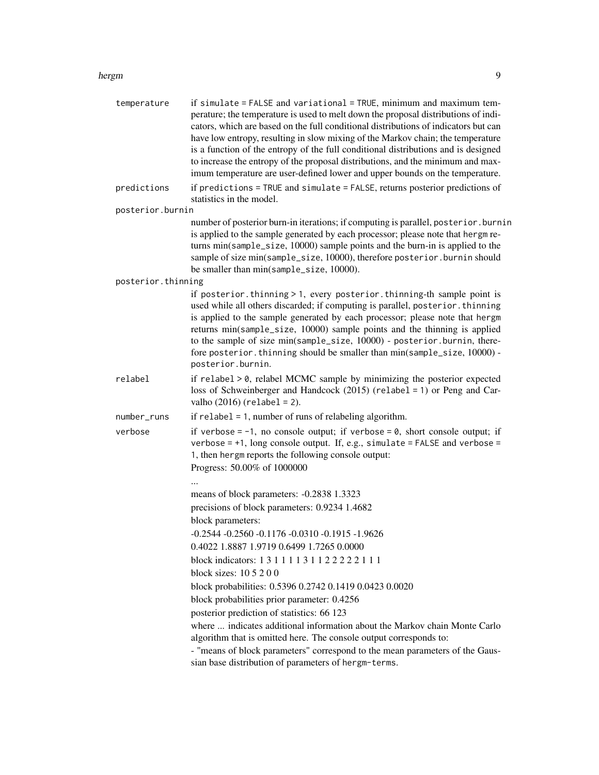| temperature        | if simulate = FALSE and variational = TRUE, minimum and maximum tem-<br>perature; the temperature is used to melt down the proposal distributions of indi-<br>cators, which are based on the full conditional distributions of indicators but can<br>have low entropy, resulting in slow mixing of the Markov chain; the temperature<br>is a function of the entropy of the full conditional distributions and is designed<br>to increase the entropy of the proposal distributions, and the minimum and max-<br>imum temperature are user-defined lower and upper bounds on the temperature. |
|--------------------|-----------------------------------------------------------------------------------------------------------------------------------------------------------------------------------------------------------------------------------------------------------------------------------------------------------------------------------------------------------------------------------------------------------------------------------------------------------------------------------------------------------------------------------------------------------------------------------------------|
| predictions        | if predictions = TRUE and simulate = FALSE, returns posterior predictions of<br>statistics in the model.                                                                                                                                                                                                                                                                                                                                                                                                                                                                                      |
| posterior.burnin   |                                                                                                                                                                                                                                                                                                                                                                                                                                                                                                                                                                                               |
|                    | number of posterior burn-in iterations; if computing is parallel, posterior. burnin<br>is applied to the sample generated by each processor; please note that hergm re-<br>turns min(sample_size, 10000) sample points and the burn-in is applied to the<br>sample of size min(sample_size, 10000), therefore posterior. burnin should<br>be smaller than min(sample_size, 10000).                                                                                                                                                                                                            |
| posterior.thinning |                                                                                                                                                                                                                                                                                                                                                                                                                                                                                                                                                                                               |
|                    | if posterior. thinning > 1, every posterior. thinning-th sample point is<br>used while all others discarded; if computing is parallel, posterior. thinning<br>is applied to the sample generated by each processor; please note that hergm<br>returns min(sample_size, 10000) sample points and the thinning is applied<br>to the sample of size min(sample_size, 10000) - posterior.burnin, there-<br>fore posterior. thinning should be smaller than min(sample_size, 10000) -<br>posterior.burnin.                                                                                         |
| relabel            | if $relabel > 0$ , relabel MCMC sample by minimizing the posterior expected<br>loss of Schweinberger and Handcock (2015) (relabel = 1) or Peng and Car-<br>valho $(2016)$ (relabel = 2).                                                                                                                                                                                                                                                                                                                                                                                                      |
| number_runs        | if $relabel = 1$ , number of runs of relabeling algorithm.                                                                                                                                                                                                                                                                                                                                                                                                                                                                                                                                    |
| verbose            | if verbose = $-1$ , no console output; if verbose = 0, short console output; if<br>verbose = $+1$ , long console output. If, e.g., simulate = FALSE and verbose =<br>1, then hergm reports the following console output:<br>Progress: 50.00% of 1000000                                                                                                                                                                                                                                                                                                                                       |
|                    |                                                                                                                                                                                                                                                                                                                                                                                                                                                                                                                                                                                               |
|                    | means of block parameters: -0.2838 1.3323                                                                                                                                                                                                                                                                                                                                                                                                                                                                                                                                                     |
|                    | precisions of block parameters: 0.9234 1.4682                                                                                                                                                                                                                                                                                                                                                                                                                                                                                                                                                 |
|                    | block parameters:<br>$-0.2544 - 0.2560 - 0.1176 - 0.0310 - 0.1915 - 1.9626$                                                                                                                                                                                                                                                                                                                                                                                                                                                                                                                   |
|                    | 0.4022 1.8887 1.9719 0.6499 1.7265 0.0000                                                                                                                                                                                                                                                                                                                                                                                                                                                                                                                                                     |
|                    | block indicators: 1 3 1 1 1 1 3 1 1 2 2 2 2 2 1 1 1                                                                                                                                                                                                                                                                                                                                                                                                                                                                                                                                           |
|                    | block sizes: $105200$                                                                                                                                                                                                                                                                                                                                                                                                                                                                                                                                                                         |
|                    | block probabilities: 0.5396 0.2742 0.1419 0.0423 0.0020                                                                                                                                                                                                                                                                                                                                                                                                                                                                                                                                       |
|                    | block probabilities prior parameter: 0.4256                                                                                                                                                                                                                                                                                                                                                                                                                                                                                                                                                   |
|                    | posterior prediction of statistics: 66 123                                                                                                                                                                                                                                                                                                                                                                                                                                                                                                                                                    |
|                    | where  indicates additional information about the Markov chain Monte Carlo<br>algorithm that is omitted here. The console output corresponds to:                                                                                                                                                                                                                                                                                                                                                                                                                                              |
|                    | - "means of block parameters" correspond to the mean parameters of the Gaus-<br>sian base distribution of parameters of hergm-terms.                                                                                                                                                                                                                                                                                                                                                                                                                                                          |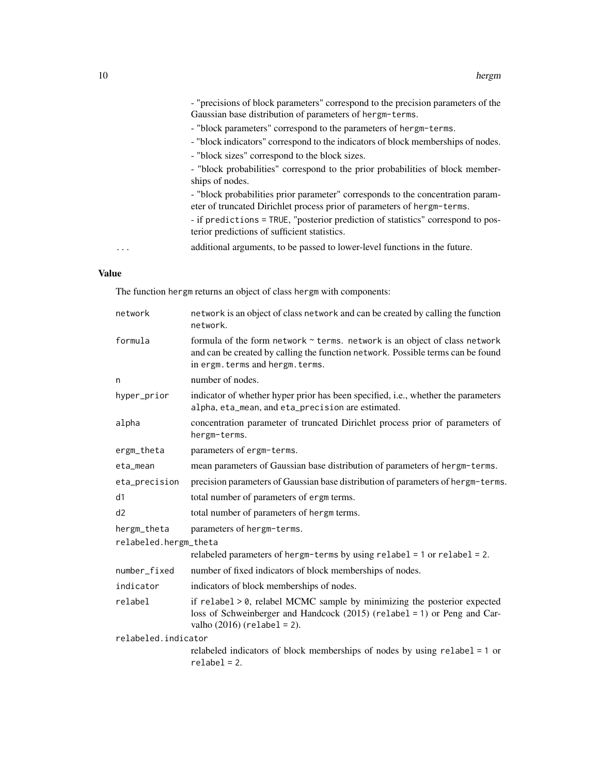|   | - "precisions of block parameters" correspond to the precision parameters of the                                                                           |
|---|------------------------------------------------------------------------------------------------------------------------------------------------------------|
|   | Gaussian base distribution of parameters of hergm-terms.                                                                                                   |
|   | - "block parameters" correspond to the parameters of hergm-terms.                                                                                          |
|   | - "block indicators" correspond to the indicators of block memberships of nodes.                                                                           |
|   | - "block sizes" correspond to the block sizes.                                                                                                             |
|   | - "block probabilities" correspond to the prior probabilities of block member-<br>ships of nodes.                                                          |
|   | - "block probabilities prior parameter" corresponds to the concentration param-<br>eter of truncated Dirichlet process prior of parameters of hergm-terms. |
|   | - if predictions = TRUE, "posterior prediction of statistics" correspond to pos-<br>terior predictions of sufficient statistics.                           |
| . | additional arguments, to be passed to lower-level functions in the future.                                                                                 |
|   |                                                                                                                                                            |

## Value

The function hergm returns an object of class hergm with components:

| network               | network is an object of class network and can be created by calling the function<br>network.                                                                                                      |
|-----------------------|---------------------------------------------------------------------------------------------------------------------------------------------------------------------------------------------------|
| formula               | formula of the form network ~ terms. network is an object of class network<br>and can be created by calling the function network. Possible terms can be found<br>in ergm. terms and hergm. terms. |
| n                     | number of nodes.                                                                                                                                                                                  |
| hyper_prior           | indicator of whether hyper prior has been specified, i.e., whether the parameters<br>alpha, eta_mean, and eta_precision are estimated.                                                            |
| alpha                 | concentration parameter of truncated Dirichlet process prior of parameters of<br>hergm-terms.                                                                                                     |
| ergm_theta            | parameters of ergm-terms.                                                                                                                                                                         |
| eta_mean              | mean parameters of Gaussian base distribution of parameters of hergm-terms.                                                                                                                       |
| eta_precision         | precision parameters of Gaussian base distribution of parameters of hergm-terms.                                                                                                                  |
| d1                    | total number of parameters of ergm terms.                                                                                                                                                         |
| d2                    | total number of parameters of hergm terms.                                                                                                                                                        |
| hergm_theta           | parameters of hergm-terms.                                                                                                                                                                        |
| relabeled.hergm_theta |                                                                                                                                                                                                   |
|                       | relabeled parameters of hergm-terms by using $relabel = 1$ or $relabel = 2$ .                                                                                                                     |
| number_fixed          | number of fixed indicators of block memberships of nodes.                                                                                                                                         |
| indicator             | indicators of block memberships of nodes.                                                                                                                                                         |
| relabel               | if relabel > 0, relabel MCMC sample by minimizing the posterior expected<br>loss of Schweinberger and Handcock (2015) (relabel = 1) or Peng and Car-<br>valho $(2016)$ (relabel = 2).             |
| relabeled.indicator   |                                                                                                                                                                                                   |
|                       | relabeled indicators of block memberships of nodes by using $relabel = 1$ or<br>$relabel = 2.$                                                                                                    |
|                       |                                                                                                                                                                                                   |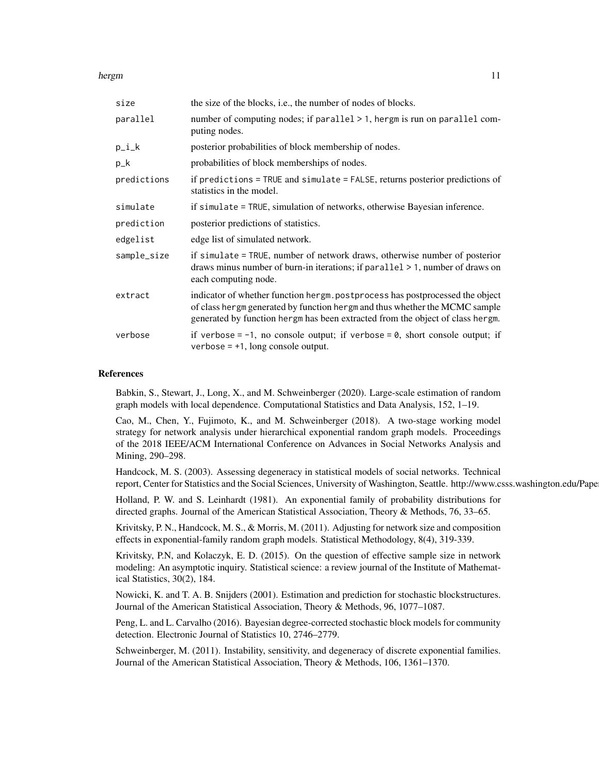| size        | the size of the blocks, <i>i.e.</i> , the number of nodes of blocks.                                                                                                                                                                           |
|-------------|------------------------------------------------------------------------------------------------------------------------------------------------------------------------------------------------------------------------------------------------|
| parallel    | number of computing nodes; if parallel > 1, hergm is run on parallel com-<br>puting nodes.                                                                                                                                                     |
| $p_i_k$     | posterior probabilities of block membership of nodes.                                                                                                                                                                                          |
| $p_k$       | probabilities of block memberships of nodes.                                                                                                                                                                                                   |
| predictions | if predictions = TRUE and simulate = FALSE, returns posterior predictions of<br>statistics in the model.                                                                                                                                       |
| simulate    | if simulate = TRUE, simulation of networks, otherwise Bayesian inference.                                                                                                                                                                      |
| prediction  | posterior predictions of statistics.                                                                                                                                                                                                           |
| edgelist    | edge list of simulated network.                                                                                                                                                                                                                |
| sample_size | if simulate = TRUE, number of network draws, otherwise number of posterior<br>draws minus number of burn-in iterations; if $parallel > 1$ , number of draws on<br>each computing node.                                                         |
| extract     | indicator of whether function hergm. postprocess has postprocessed the object<br>of class hergm generated by function hergm and thus whether the MCMC sample<br>generated by function hergm has been extracted from the object of class hergm. |
| verbose     | if verbose = $-1$ , no console output; if verbose = 0, short console output; if<br>verbose $= +1$ , long console output.                                                                                                                       |

#### References

Babkin, S., Stewart, J., Long, X., and M. Schweinberger (2020). Large-scale estimation of random graph models with local dependence. Computational Statistics and Data Analysis, 152, 1–19.

Cao, M., Chen, Y., Fujimoto, K., and M. Schweinberger (2018). A two-stage working model strategy for network analysis under hierarchical exponential random graph models. Proceedings of the 2018 IEEE/ACM International Conference on Advances in Social Networks Analysis and Mining, 290–298.

Handcock, M. S. (2003). Assessing degeneracy in statistical models of social networks. Technical report, Center for Statistics and the Social Sciences, University of Washington, Seattle. http://www.csss.washington.edu/Pape

Holland, P. W. and S. Leinhardt (1981). An exponential family of probability distributions for directed graphs. Journal of the American Statistical Association, Theory & Methods, 76, 33–65.

Krivitsky, P. N., Handcock, M. S., & Morris, M. (2011). Adjusting for network size and composition effects in exponential-family random graph models. Statistical Methodology, 8(4), 319-339.

Krivitsky, P.N, and Kolaczyk, E. D. (2015). On the question of effective sample size in network modeling: An asymptotic inquiry. Statistical science: a review journal of the Institute of Mathematical Statistics, 30(2), 184.

Nowicki, K. and T. A. B. Snijders (2001). Estimation and prediction for stochastic blockstructures. Journal of the American Statistical Association, Theory & Methods, 96, 1077–1087.

Peng, L. and L. Carvalho (2016). Bayesian degree-corrected stochastic block models for community detection. Electronic Journal of Statistics 10, 2746–2779.

Schweinberger, M. (2011). Instability, sensitivity, and degeneracy of discrete exponential families. Journal of the American Statistical Association, Theory & Methods, 106, 1361–1370.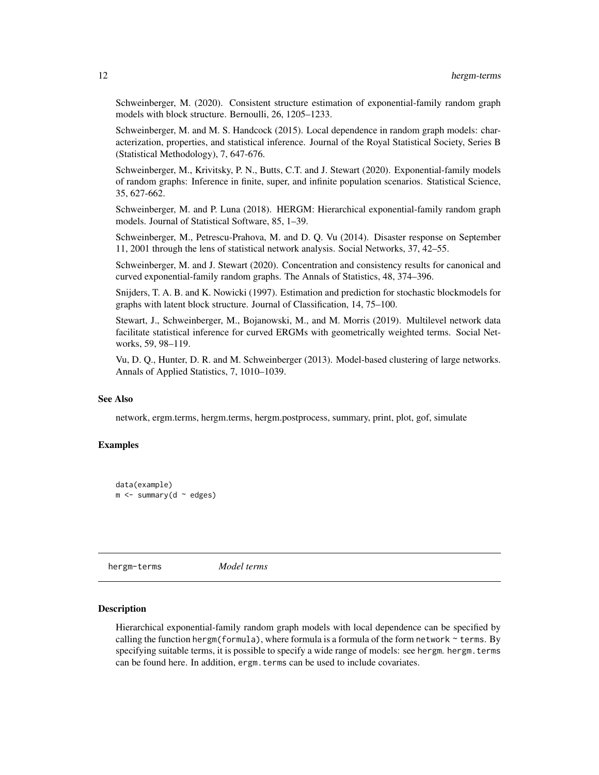Schweinberger, M. (2020). Consistent structure estimation of exponential-family random graph models with block structure. Bernoulli, 26, 1205–1233.

Schweinberger, M. and M. S. Handcock (2015). Local dependence in random graph models: characterization, properties, and statistical inference. Journal of the Royal Statistical Society, Series B (Statistical Methodology), 7, 647-676.

Schweinberger, M., Krivitsky, P. N., Butts, C.T. and J. Stewart (2020). Exponential-family models of random graphs: Inference in finite, super, and infinite population scenarios. Statistical Science, 35, 627-662.

Schweinberger, M. and P. Luna (2018). HERGM: Hierarchical exponential-family random graph models. Journal of Statistical Software, 85, 1–39.

Schweinberger, M., Petrescu-Prahova, M. and D. Q. Vu (2014). Disaster response on September 11, 2001 through the lens of statistical network analysis. Social Networks, 37, 42–55.

Schweinberger, M. and J. Stewart (2020). Concentration and consistency results for canonical and curved exponential-family random graphs. The Annals of Statistics, 48, 374–396.

Snijders, T. A. B. and K. Nowicki (1997). Estimation and prediction for stochastic blockmodels for graphs with latent block structure. Journal of Classification, 14, 75–100.

Stewart, J., Schweinberger, M., Bojanowski, M., and M. Morris (2019). Multilevel network data facilitate statistical inference for curved ERGMs with geometrically weighted terms. Social Networks, 59, 98–119.

Vu, D. Q., Hunter, D. R. and M. Schweinberger (2013). Model-based clustering of large networks. Annals of Applied Statistics, 7, 1010–1039.

## See Also

network, ergm.terms, hergm.terms, hergm.postprocess, summary, print, plot, gof, simulate

#### Examples

```
data(example)
m <- summary(d ~ edges)
```
hergm-terms *Model terms*

#### Description

Hierarchical exponential-family random graph models with local dependence can be specified by calling the function hergm(formula), where formula is a formula of the form network  $\sim$  terms. By specifying suitable terms, it is possible to specify a wide range of models: see hergm. hergm.terms can be found here. In addition, ergm.terms can be used to include covariates.

<span id="page-11-0"></span>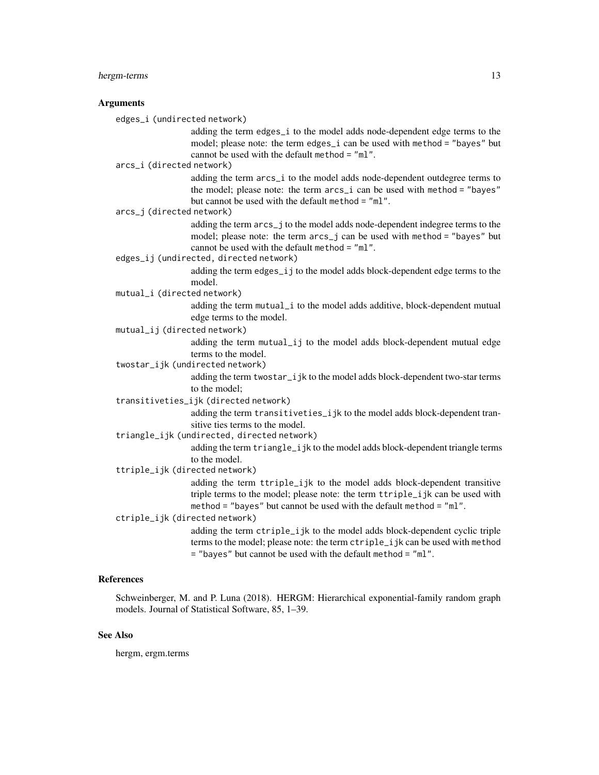## hergm-terms 13

#### Arguments

edges\_i (undirected network)

adding the term edges\_i to the model adds node-dependent edge terms to the model; please note: the term edges\_i can be used with method = "bayes" but cannot be used with the default method = "ml".

arcs\_i (directed network)

adding the term arcs\_i to the model adds node-dependent outdegree terms to the model; please note: the term arcs\_i can be used with method = "bayes" but cannot be used with the default method = "ml".

arcs\_j (directed network)

adding the term arcs\_j to the model adds node-dependent indegree terms to the model; please note: the term arcs\_j can be used with method = "bayes" but cannot be used with the default method = "ml".

edges\_ij (undirected, directed network)

adding the term edges\_ij to the model adds block-dependent edge terms to the model.

mutual\_i (directed network)

adding the term mutual\_i to the model adds additive, block-dependent mutual edge terms to the model.

mutual\_ij (directed network)

adding the term mutual\_ij to the model adds block-dependent mutual edge terms to the model.

twostar\_ijk (undirected network)

adding the term twostar\_ijk to the model adds block-dependent two-star terms to the model;

transitiveties\_ijk (directed network)

adding the term transitiveties\_ijk to the model adds block-dependent transitive ties terms to the model.

triangle\_ijk (undirected, directed network)

adding the term triangle\_ijk to the model adds block-dependent triangle terms to the model.

ttriple\_ijk (directed network)

adding the term ttriple\_ijk to the model adds block-dependent transitive triple terms to the model; please note: the term ttriple\_ijk can be used with method = "bayes" but cannot be used with the default method = "ml".

ctriple\_ijk (directed network)

adding the term ctriple\_ijk to the model adds block-dependent cyclic triple terms to the model; please note: the term ctriple\_ijk can be used with method = "bayes" but cannot be used with the default method = "ml".

## References

Schweinberger, M. and P. Luna (2018). HERGM: Hierarchical exponential-family random graph models. Journal of Statistical Software, 85, 1–39.

#### See Also

hergm, ergm.terms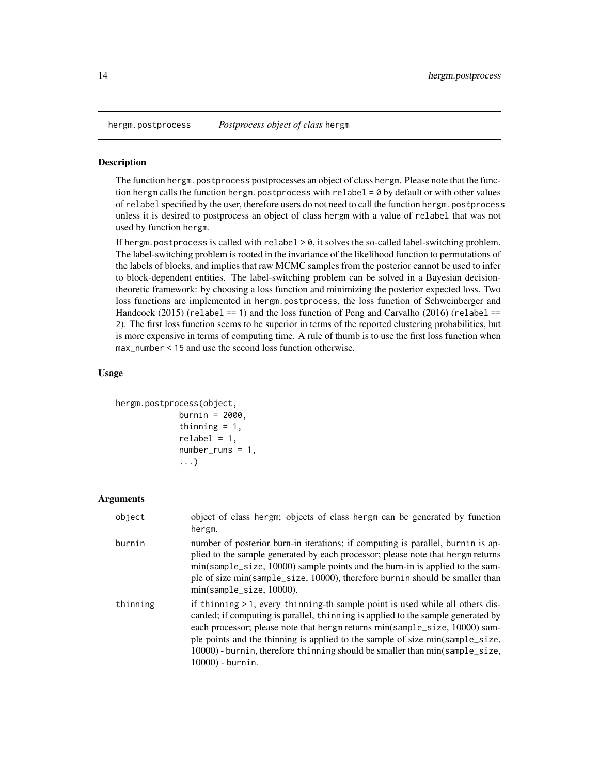<span id="page-13-0"></span>

#### Description

The function hergm.postprocess postprocesses an object of class hergm. Please note that the function hergm calls the function hergm.postprocess with relabel = 0 by default or with other values of relabel specified by the user, therefore users do not need to call the function hergm.postprocess unless it is desired to postprocess an object of class hergm with a value of relabel that was not used by function hergm.

If hergm.postprocess is called with relabel > 0, it solves the so-called label-switching problem. The label-switching problem is rooted in the invariance of the likelihood function to permutations of the labels of blocks, and implies that raw MCMC samples from the posterior cannot be used to infer to block-dependent entities. The label-switching problem can be solved in a Bayesian decisiontheoretic framework: by choosing a loss function and minimizing the posterior expected loss. Two loss functions are implemented in hergm.postprocess, the loss function of Schweinberger and Handcock  $(2015)$  (relabel == 1) and the loss function of Peng and Carvalho  $(2016)$  (relabel == 2). The first loss function seems to be superior in terms of the reported clustering probabilities, but is more expensive in terms of computing time. A rule of thumb is to use the first loss function when max\_number < 15 and use the second loss function otherwise.

#### Usage

```
hergm.postprocess(object,
             burnin = 2000,
             thinning = 1,
             relabel = 1,
             number_runs = 1,
              ...)
```
#### Arguments

| object   | object of class hergm; objects of class hergm can be generated by function<br>hergm.                                                                                                                                                                                                                                                                                                                                                    |
|----------|-----------------------------------------------------------------------------------------------------------------------------------------------------------------------------------------------------------------------------------------------------------------------------------------------------------------------------------------------------------------------------------------------------------------------------------------|
| burnin   | number of posterior burn-in iterations; if computing is parallel, burnin is ap-<br>plied to the sample generated by each processor; please note that hergm returns<br>min(sample_size, 10000) sample points and the burn-in is applied to the sam-<br>ple of size min(sample_size, 10000), therefore burnin should be smaller than<br>$min(sample_size, 10000).$                                                                        |
| thinning | if thinning > 1, every thinning-th sample point is used while all others dis-<br>carded; if computing is parallel, thinning is applied to the sample generated by<br>each processor; please note that hergm returns min(sample_size, 10000) sam-<br>ple points and the thinning is applied to the sample of size min(sample_size,<br>10000) - burnin, therefore thinning should be smaller than min(sample_size,<br>$10000$ ) - burnin. |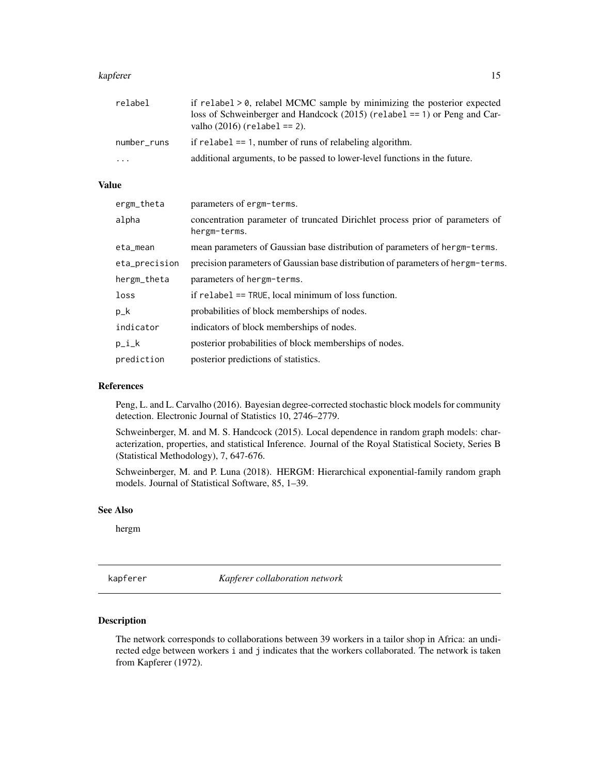#### <span id="page-14-0"></span>kapferer til 15

| relabel     | if relabel $> 0$ , relabel MCMC sample by minimizing the posterior expected<br>loss of Schweinberger and Handcock $(2015)$ (relabel == 1) or Peng and Car-<br>valho $(2016)$ (relabel == 2). |
|-------------|----------------------------------------------------------------------------------------------------------------------------------------------------------------------------------------------|
| number_runs | if relabel $== 1$ , number of runs of relabeling algorithm.                                                                                                                                  |
| $\ddotsc$   | additional arguments, to be passed to lower-level functions in the future.                                                                                                                   |

#### Value

| ergm_theta    | parameters of ergm-terms.                                                                     |
|---------------|-----------------------------------------------------------------------------------------------|
| alpha         | concentration parameter of truncated Dirichlet process prior of parameters of<br>hergm-terms. |
| eta_mean      | mean parameters of Gaussian base distribution of parameters of hergm-terms.                   |
| eta_precision | precision parameters of Gaussian base distribution of parameters of hergm-terms.              |
| hergm_theta   | parameters of hergm-terms.                                                                    |
| loss          | if $relabel = TRUE$ , local minimum of loss function.                                         |
| $p_k$         | probabilities of block memberships of nodes.                                                  |
| indicator     | indicators of block memberships of nodes.                                                     |
| $p_i_k$       | posterior probabilities of block memberships of nodes.                                        |
| prediction    | posterior predictions of statistics.                                                          |

#### References

Peng, L. and L. Carvalho (2016). Bayesian degree-corrected stochastic block models for community detection. Electronic Journal of Statistics 10, 2746–2779.

Schweinberger, M. and M. S. Handcock (2015). Local dependence in random graph models: characterization, properties, and statistical Inference. Journal of the Royal Statistical Society, Series B (Statistical Methodology), 7, 647-676.

Schweinberger, M. and P. Luna (2018). HERGM: Hierarchical exponential-family random graph models. Journal of Statistical Software, 85, 1–39.

## See Also

hergm

kapferer *Kapferer collaboration network*

#### Description

The network corresponds to collaborations between 39 workers in a tailor shop in Africa: an undirected edge between workers i and j indicates that the workers collaborated. The network is taken from Kapferer (1972).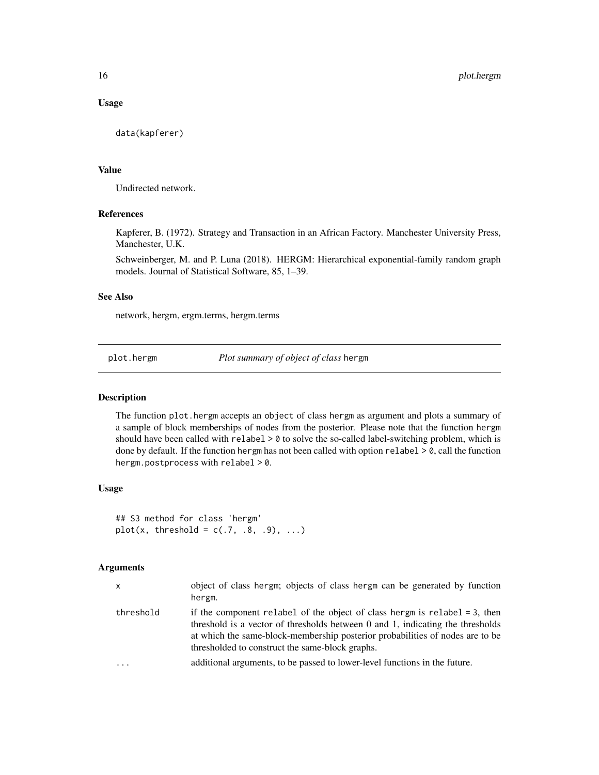#### Usage

data(kapferer)

#### Value

Undirected network.

#### References

Kapferer, B. (1972). Strategy and Transaction in an African Factory. Manchester University Press, Manchester, U.K.

Schweinberger, M. and P. Luna (2018). HERGM: Hierarchical exponential-family random graph models. Journal of Statistical Software, 85, 1–39.

#### See Also

network, hergm, ergm.terms, hergm.terms

plot.hergm *Plot summary of object of class* hergm

## **Description**

The function plot.hergm accepts an object of class hergm as argument and plots a summary of a sample of block memberships of nodes from the posterior. Please note that the function hergm should have been called with relabel > 0 to solve the so-called label-switching problem, which is done by default. If the function hergm has not been called with option relabel  $> 0$ , call the function hergm.postprocess with relabel > 0.

#### Usage

```
## S3 method for class 'hergm'
plot(x, threshold = c(.7, .8, .9), ...)
```
#### Arguments

| X         | object of class hergm; objects of class hergm can be generated by function<br>hergm.                                                                                                                                                                                                             |
|-----------|--------------------------------------------------------------------------------------------------------------------------------------------------------------------------------------------------------------------------------------------------------------------------------------------------|
| threshold | if the component relabel of the object of class hergm is relabel = 3, then<br>threshold is a vector of thresholds between 0 and 1, indicating the thresholds<br>at which the same-block-membership posterior probabilities of nodes are to be<br>thresholded to construct the same-block graphs. |
| $\cdot$   | additional arguments, to be passed to lower-level functions in the future.                                                                                                                                                                                                                       |

<span id="page-15-0"></span>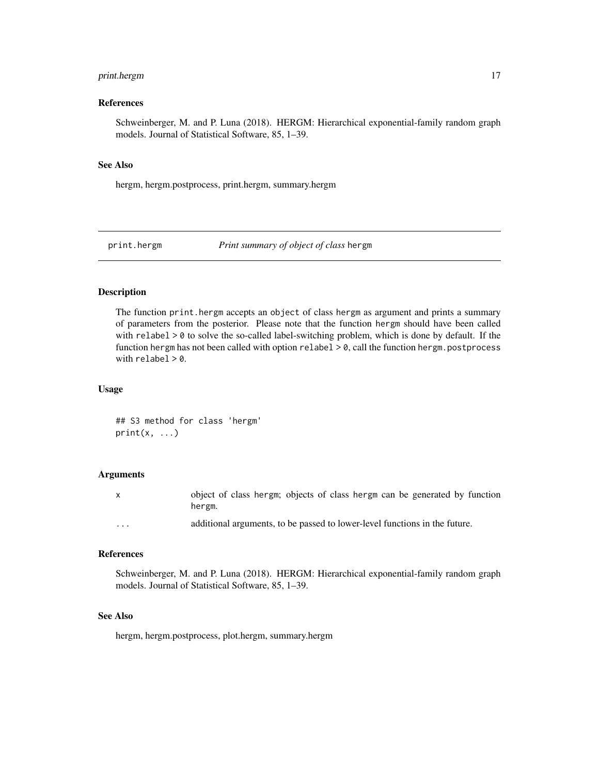## <span id="page-16-0"></span>print.hergm 17

#### References

Schweinberger, M. and P. Luna (2018). HERGM: Hierarchical exponential-family random graph models. Journal of Statistical Software, 85, 1–39.

#### See Also

hergm, hergm.postprocess, print.hergm, summary.hergm

print.hergm *Print summary of object of class* hergm

## Description

The function print.hergm accepts an object of class hergm as argument and prints a summary of parameters from the posterior. Please note that the function hergm should have been called with  $relabel > 0$  to solve the so-called label-switching problem, which is done by default. If the function hergm has not been called with option relabel  $> 0$ , call the function hergm.postprocess with  $relabel > 0$ .

#### Usage

## S3 method for class 'hergm'  $print(x, \ldots)$ 

#### Arguments

|          | object of class hergm; objects of class hergm can be generated by function<br>hergm. |
|----------|--------------------------------------------------------------------------------------|
| $\cdots$ | additional arguments, to be passed to lower-level functions in the future.           |

## References

Schweinberger, M. and P. Luna (2018). HERGM: Hierarchical exponential-family random graph models. Journal of Statistical Software, 85, 1–39.

#### See Also

hergm, hergm.postprocess, plot.hergm, summary.hergm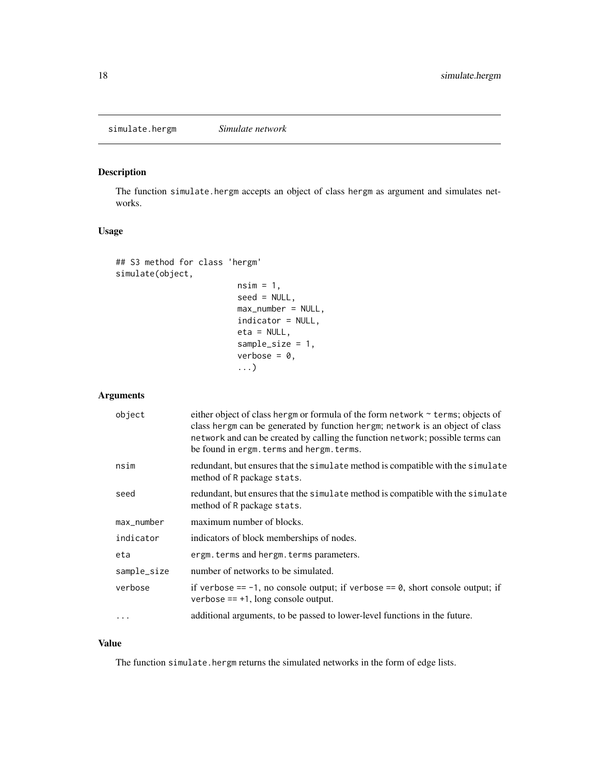## <span id="page-17-0"></span>Description

The function simulate.hergm accepts an object of class hergm as argument and simulates networks.

## Usage

```
## S3 method for class 'hergm'
simulate(object,
                         nsim = 1,seed = NULL,
                         max_number = NULL,
                         indicator = NULL,
                         eta = NULL,sample_size = 1,
                         verbose = 0,
                         ...)
```
## Arguments

| object      | either object of class hergm or formula of the form network ~ terms; objects of<br>class hergm can be generated by function hergm; network is an object of class<br>network and can be created by calling the function network; possible terms can<br>be found in ergm. terms and hergm. terms. |
|-------------|-------------------------------------------------------------------------------------------------------------------------------------------------------------------------------------------------------------------------------------------------------------------------------------------------|
| nsim        | redundant, but ensures that the simulate method is compatible with the simulate<br>method of R package stats.                                                                                                                                                                                   |
| seed        | redundant, but ensures that the simulate method is compatible with the simulate<br>method of R package stats.                                                                                                                                                                                   |
| max_number  | maximum number of blocks.                                                                                                                                                                                                                                                                       |
| indicator   | indicators of block memberships of nodes.                                                                                                                                                                                                                                                       |
| eta         | ergm. terms and hergm. terms parameters.                                                                                                                                                                                                                                                        |
| sample_size | number of networks to be simulated.                                                                                                                                                                                                                                                             |
| verbose     | if verbose == -1, no console output; if verbose == $\theta$ , short console output; if<br>verbose == $+1$ , long console output.                                                                                                                                                                |
| $\cdots$    | additional arguments, to be passed to lower-level functions in the future.                                                                                                                                                                                                                      |

#### Value

The function simulate.hergm returns the simulated networks in the form of edge lists.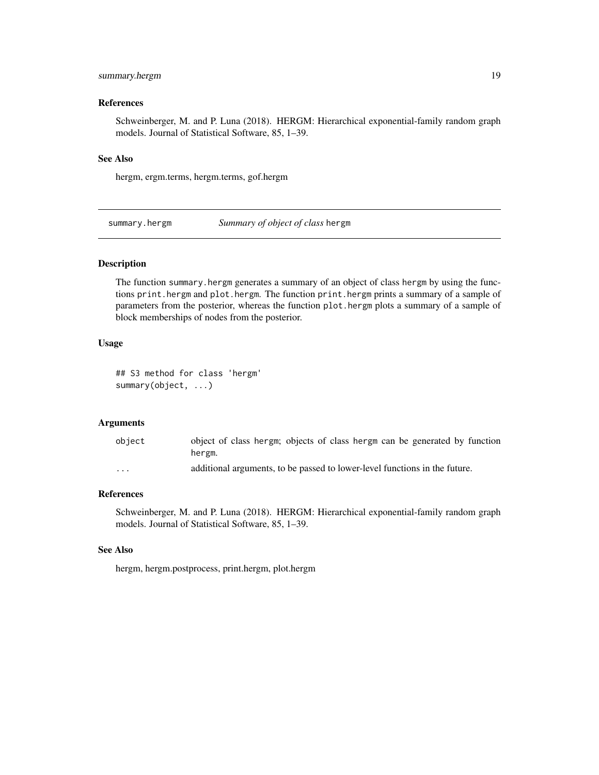## <span id="page-18-0"></span>summary.hergm 19

#### References

Schweinberger, M. and P. Luna (2018). HERGM: Hierarchical exponential-family random graph models. Journal of Statistical Software, 85, 1–39.

## See Also

hergm, ergm.terms, hergm.terms, gof.hergm

summary.hergm *Summary of object of class* hergm

## Description

The function summary.hergm generates a summary of an object of class hergm by using the functions print.hergm and plot.hergm. The function print.hergm prints a summary of a sample of parameters from the posterior, whereas the function plot.hergm plots a summary of a sample of block memberships of nodes from the posterior.

#### Usage

## S3 method for class 'hergm' summary(object, ...)

#### Arguments

| object                  | object of class hergm; objects of class hergm can be generated by function<br>hergm. |
|-------------------------|--------------------------------------------------------------------------------------|
| $\cdot$ $\cdot$ $\cdot$ | additional arguments, to be passed to lower-level functions in the future.           |

## References

Schweinberger, M. and P. Luna (2018). HERGM: Hierarchical exponential-family random graph models. Journal of Statistical Software, 85, 1–39.

#### See Also

hergm, hergm.postprocess, print.hergm, plot.hergm